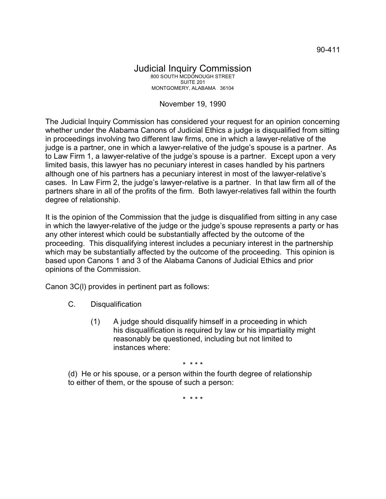## Judicial Inquiry Commission 800 SOUTH MCDONOUGH STREET SUITE 201 MONTGOMERY, ALABAMA 36104

## November 19, 1990

The Judicial Inquiry Commission has considered your request for an opinion concerning whether under the Alabama Canons of Judicial Ethics a judge is disqualified from sitting in proceedings involving two different law firms, one in which a lawyer-relative of the judge is a partner, one in which a lawyer-relative of the judge's spouse is a partner. As to Law Firm 1, a lawyer-relative of the judge's spouse is a partner. Except upon a very limited basis, this lawyer has no pecuniary interest in cases handled by his partners although one of his partners has a pecuniary interest in most of the lawyer-relative's cases. In Law Firm 2, the judge's lawyer-relative is a partner. In that law firm all of the partners share in all of the profits of the firm. Both lawyer-relatives fall within the fourth degree of relationship.

It is the opinion of the Commission that the judge is disqualified from sitting in any case in which the lawyer-relative of the judge or the judge's spouse represents a party or has any other interest which could be substantially affected by the outcome of the proceeding. This disqualifying interest includes a pecuniary interest in the partnership which may be substantially affected by the outcome of the proceeding. This opinion is based upon Canons 1 and 3 of the Alabama Canons of Judicial Ethics and prior opinions of the Commission.

Canon 3C(l) provides in pertinent part as follows:

- C. Disqualification
	- (1) A judge should disqualify himself in a proceeding in which his disqualification is required by law or his impartiality might reasonably be questioned, including but not limited to instances where:

\* \* \* \*

(d) He or his spouse, or a person within the fourth degree of relationship to either of them, or the spouse of such a person:

\* \* \* \*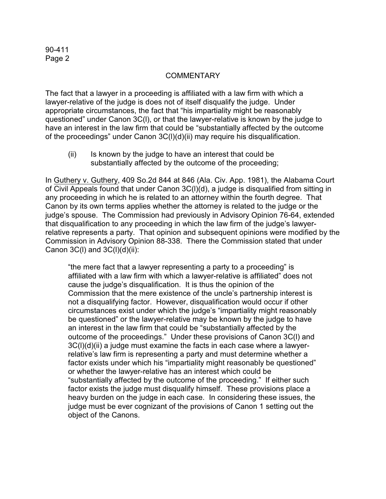## **COMMENTARY**

The fact that a lawyer in a proceeding is affiliated with a law firm with which a lawyer-relative of the judge is does not of itself disqualify the judge. Under appropriate circumstances, the fact that "his impartiality might be reasonably questioned" under Canon 3C(l), or that the lawyer-relative is known by the judge to have an interest in the law firm that could be "substantially affected by the outcome of the proceedings" under Canon 3C(l)(d)(ii) may require his disqualification.

(ii) Is known by the judge to have an interest that could be substantially affected by the outcome of the proceeding;

In Guthery v. Guthery, 409 So.2d 844 at 846 (Ala. Civ. App. 1981), the Alabama Court of Civil Appeals found that under Canon 3C(l)(d), a judge is disqualified from sitting in any proceeding in which he is related to an attorney within the fourth degree. That Canon by its own terms applies whether the attorney is related to the judge or the judge's spouse. The Commission had previously in Advisory Opinion 76-64, extended that disqualification to any proceeding in which the law firm of the judge's lawyerrelative represents a party. That opinion and subsequent opinions were modified by the Commission in Advisory Opinion 88-338. There the Commission stated that under Canon  $3C(1)$  and  $3C(1)(d)(ii)$ :

"the mere fact that a lawyer representing a party to a proceeding" is affiliated with a law firm with which a lawyer-relative is affiliated" does not cause the judge's disqualification. It is thus the opinion of the Commission that the mere existence of the uncle's partnership interest is not a disqualifying factor. However, disqualification would occur if other circumstances exist under which the judge's "impartiality might reasonably be questioned" or the lawyer-relative may be known by the judge to have an interest in the law firm that could be "substantially affected by the outcome of the proceedings." Under these provisions of Canon 3C(l) and 3C(l)(d)(ii) a judge must examine the facts in each case where a lawyerrelative's law firm is representing a party and must determine whether a factor exists under which his "impartiality might reasonably be questioned" or whether the lawyer-relative has an interest which could be "substantially affected by the outcome of the proceeding." If either such factor exists the judge must disqualify himself. These provisions place a heavy burden on the judge in each case. In considering these issues, the judge must be ever cognizant of the provisions of Canon 1 setting out the object of the Canons.